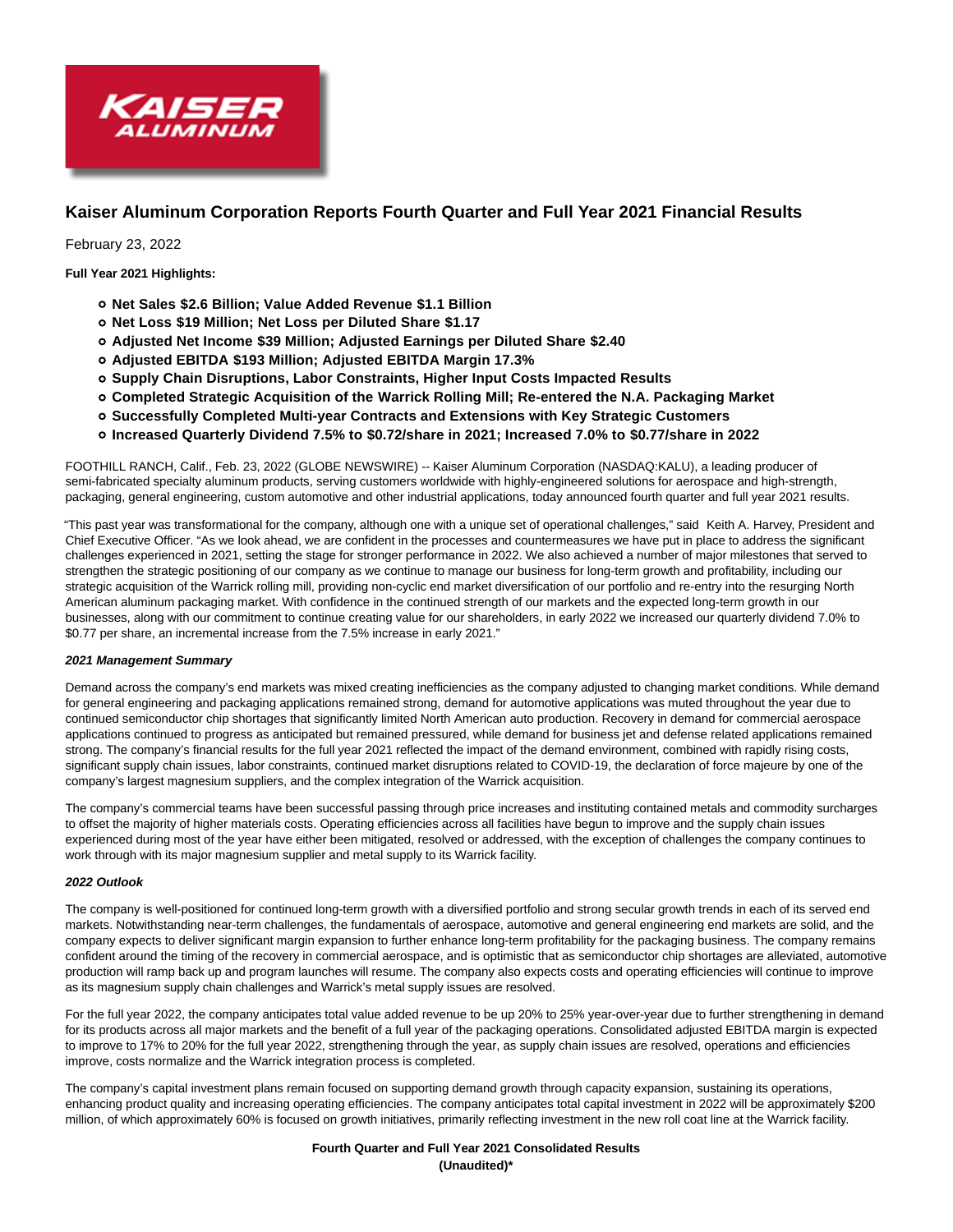

# **Kaiser Aluminum Corporation Reports Fourth Quarter and Full Year 2021 Financial Results**

February 23, 2022

**Full Year 2021 Highlights:**

- **Net Sales \$2.6 Billion; Value Added Revenue \$1.1 Billion**
- **Net Loss \$19 Million; Net Loss per Diluted Share \$1.17**
- **Adjusted Net Income \$39 Million; Adjusted Earnings per Diluted Share \$2.40**
- **Adjusted EBITDA \$193 Million; Adjusted EBITDA Margin 17.3%**
- **Supply Chain Disruptions, Labor Constraints, Higher Input Costs Impacted Results**
- **Completed Strategic Acquisition of the Warrick Rolling Mill; Re-entered the N.A. Packaging Market**
- **Successfully Completed Multi-year Contracts and Extensions with Key Strategic Customers**
- **Increased Quarterly Dividend 7.5% to \$0.72/share in 2021; Increased 7.0% to \$0.77/share in 2022**

FOOTHILL RANCH, Calif., Feb. 23, 2022 (GLOBE NEWSWIRE) -- Kaiser Aluminum Corporation (NASDAQ:KALU), a leading producer of semi-fabricated specialty aluminum products, serving customers worldwide with highly-engineered solutions for aerospace and high-strength, packaging, general engineering, custom automotive and other industrial applications, today announced fourth quarter and full year 2021 results.

"This past year was transformational for the company, although one with a unique set of operational challenges," said Keith A. Harvey, President and Chief Executive Officer. "As we look ahead, we are confident in the processes and countermeasures we have put in place to address the significant challenges experienced in 2021, setting the stage for stronger performance in 2022. We also achieved a number of major milestones that served to strengthen the strategic positioning of our company as we continue to manage our business for long-term growth and profitability, including our strategic acquisition of the Warrick rolling mill, providing non-cyclic end market diversification of our portfolio and re-entry into the resurging North American aluminum packaging market. With confidence in the continued strength of our markets and the expected long-term growth in our businesses, along with our commitment to continue creating value for our shareholders, in early 2022 we increased our quarterly dividend 7.0% to \$0.77 per share, an incremental increase from the 7.5% increase in early 2021."

# **2021 Management Summary**

Demand across the company's end markets was mixed creating inefficiencies as the company adjusted to changing market conditions. While demand for general engineering and packaging applications remained strong, demand for automotive applications was muted throughout the year due to continued semiconductor chip shortages that significantly limited North American auto production. Recovery in demand for commercial aerospace applications continued to progress as anticipated but remained pressured, while demand for business jet and defense related applications remained strong. The company's financial results for the full year 2021 reflected the impact of the demand environment, combined with rapidly rising costs, significant supply chain issues, labor constraints, continued market disruptions related to COVID-19, the declaration of force majeure by one of the company's largest magnesium suppliers, and the complex integration of the Warrick acquisition.

The company's commercial teams have been successful passing through price increases and instituting contained metals and commodity surcharges to offset the majority of higher materials costs. Operating efficiencies across all facilities have begun to improve and the supply chain issues experienced during most of the year have either been mitigated, resolved or addressed, with the exception of challenges the company continues to work through with its major magnesium supplier and metal supply to its Warrick facility.

# **2022 Outlook**

The company is well-positioned for continued long-term growth with a diversified portfolio and strong secular growth trends in each of its served end markets. Notwithstanding near-term challenges, the fundamentals of aerospace, automotive and general engineering end markets are solid, and the company expects to deliver significant margin expansion to further enhance long-term profitability for the packaging business. The company remains confident around the timing of the recovery in commercial aerospace, and is optimistic that as semiconductor chip shortages are alleviated, automotive production will ramp back up and program launches will resume. The company also expects costs and operating efficiencies will continue to improve as its magnesium supply chain challenges and Warrick's metal supply issues are resolved.

For the full year 2022, the company anticipates total value added revenue to be up 20% to 25% year-over-year due to further strengthening in demand for its products across all major markets and the benefit of a full year of the packaging operations. Consolidated adjusted EBITDA margin is expected to improve to 17% to 20% for the full year 2022, strengthening through the year, as supply chain issues are resolved, operations and efficiencies improve, costs normalize and the Warrick integration process is completed.

The company's capital investment plans remain focused on supporting demand growth through capacity expansion, sustaining its operations, enhancing product quality and increasing operating efficiencies. The company anticipates total capital investment in 2022 will be approximately \$200 million, of which approximately 60% is focused on growth initiatives, primarily reflecting investment in the new roll coat line at the Warrick facility.

> **Fourth Quarter and Full Year 2021 Consolidated Results (Unaudited)\***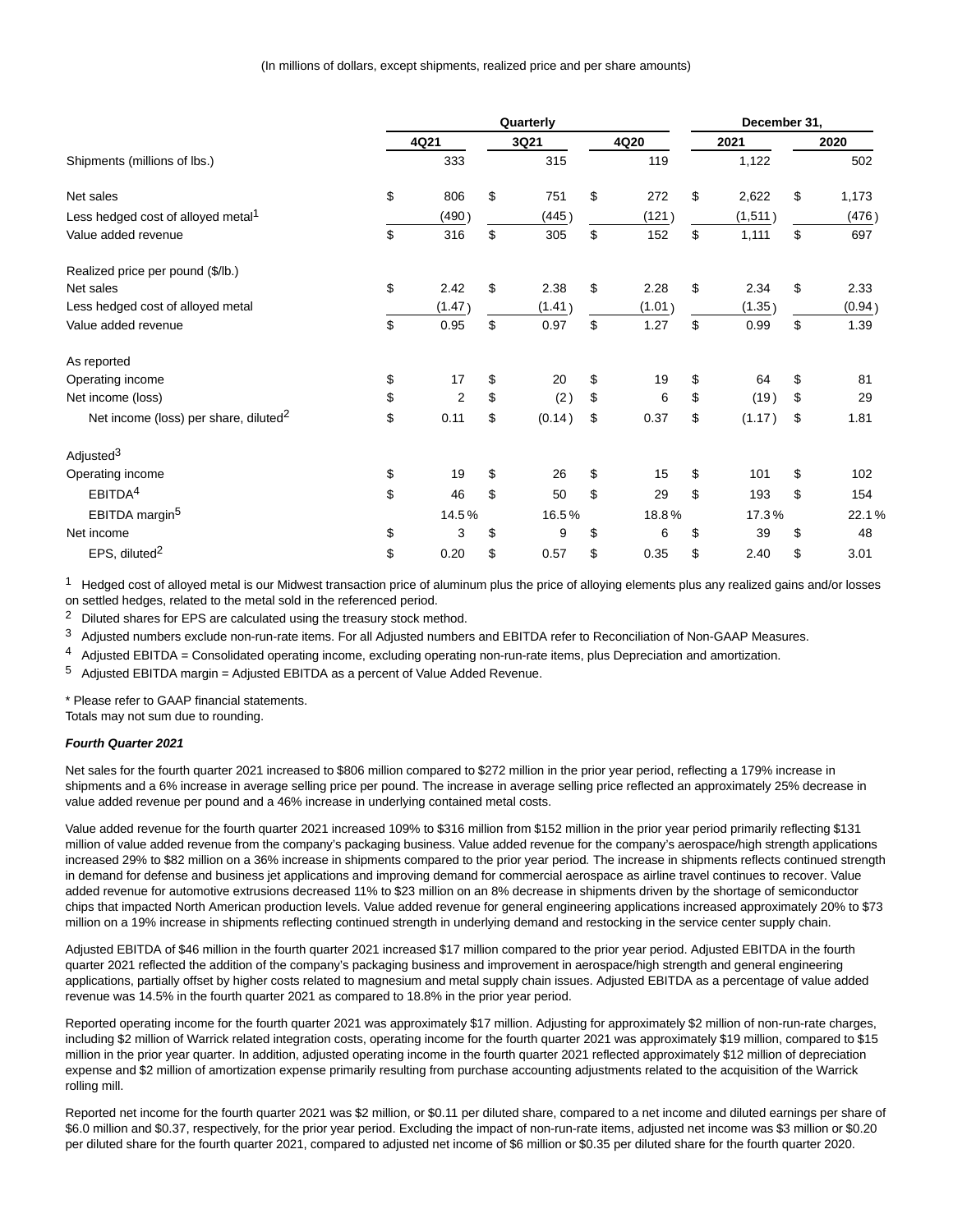|                                                   | Quarterly |                |    |        |    |        | December 31, |    |        |  |
|---------------------------------------------------|-----------|----------------|----|--------|----|--------|--------------|----|--------|--|
|                                                   |           | 4Q21           |    | 3Q21   |    | 4Q20   | 2021         |    | 2020   |  |
| Shipments (millions of lbs.)                      |           | 333            |    | 315    |    | 119    | 1,122        |    | 502    |  |
| Net sales                                         | \$        | 806            | \$ | 751    | \$ | 272    | \$<br>2,622  | \$ | 1,173  |  |
| Less hedged cost of alloyed metal <sup>1</sup>    |           | (490)          |    | (445)  |    | (121)  | (1,511)      |    | (476)  |  |
| Value added revenue                               | \$        | 316            | \$ | 305    | \$ | 152    | \$<br>1,111  | \$ | 697    |  |
| Realized price per pound (\$/lb.)                 |           |                |    |        |    |        |              |    |        |  |
| Net sales                                         | \$        | 2.42           | \$ | 2.38   | \$ | 2.28   | \$<br>2.34   | \$ | 2.33   |  |
| Less hedged cost of alloyed metal                 |           | (1.47)         |    | (1.41) |    | (1.01) | (1.35)       |    | (0.94) |  |
| Value added revenue                               | \$        | 0.95           | \$ | 0.97   | \$ | 1.27   | \$<br>0.99   | \$ | 1.39   |  |
| As reported                                       |           |                |    |        |    |        |              |    |        |  |
| Operating income                                  | \$        | 17             | \$ | 20     | \$ | 19     | \$<br>64     | \$ | 81     |  |
| Net income (loss)                                 | \$        | $\overline{2}$ | \$ | (2)    | \$ | 6      | \$<br>(19)   | \$ | 29     |  |
| Net income (loss) per share, diluted <sup>2</sup> | \$        | 0.11           | \$ | (0.14) | \$ | 0.37   | \$<br>(1.17) | \$ | 1.81   |  |
| Adjusted <sup>3</sup>                             |           |                |    |        |    |        |              |    |        |  |
| Operating income                                  | \$        | 19             | \$ | 26     | \$ | 15     | \$<br>101    | \$ | 102    |  |
| EBITDA <sup>4</sup>                               | \$        | 46             | \$ | 50     | \$ | 29     | \$<br>193    | \$ | 154    |  |
| EBITDA margin <sup>5</sup>                        |           | 14.5%          |    | 16.5%  |    | 18.8%  | 17.3%        |    | 22.1%  |  |
| Net income                                        | \$        | 3              | \$ | 9      | \$ | 6      | \$<br>39     | \$ | 48     |  |
| EPS, diluted <sup>2</sup>                         | \$        | 0.20           | \$ | 0.57   | \$ | 0.35   | \$<br>2.40   | \$ | 3.01   |  |

 $1$  Hedged cost of alloyed metal is our Midwest transaction price of aluminum plus the price of alloying elements plus any realized gains and/or losses on settled hedges, related to the metal sold in the referenced period.

<sup>2</sup> Diluted shares for EPS are calculated using the treasury stock method.

3 Adjusted numbers exclude non-run-rate items. For all Adjusted numbers and EBITDA refer to Reconciliation of Non-GAAP Measures.

 $4$  Adjusted EBITDA = Consolidated operating income, excluding operating non-run-rate items, plus Depreciation and amortization.

 $5$  Adjusted EBITDA margin = Adjusted EBITDA as a percent of Value Added Revenue.

\* Please refer to GAAP financial statements.

Totals may not sum due to rounding.

# **Fourth Quarter 2021**

Net sales for the fourth quarter 2021 increased to \$806 million compared to \$272 million in the prior year period, reflecting a 179% increase in shipments and a 6% increase in average selling price per pound. The increase in average selling price reflected an approximately 25% decrease in value added revenue per pound and a 46% increase in underlying contained metal costs.

Value added revenue for the fourth quarter 2021 increased 109% to \$316 million from \$152 million in the prior year period primarily reflecting \$131 million of value added revenue from the company's packaging business. Value added revenue for the company's aerospace/high strength applications increased 29% to \$82 million on a 36% increase in shipments compared to the prior year period. The increase in shipments reflects continued strength in demand for defense and business jet applications and improving demand for commercial aerospace as airline travel continues to recover. Value added revenue for automotive extrusions decreased 11% to \$23 million on an 8% decrease in shipments driven by the shortage of semiconductor chips that impacted North American production levels. Value added revenue for general engineering applications increased approximately 20% to \$73 million on a 19% increase in shipments reflecting continued strength in underlying demand and restocking in the service center supply chain.

Adjusted EBITDA of \$46 million in the fourth quarter 2021 increased \$17 million compared to the prior year period. Adjusted EBITDA in the fourth quarter 2021 reflected the addition of the company's packaging business and improvement in aerospace/high strength and general engineering applications, partially offset by higher costs related to magnesium and metal supply chain issues. Adjusted EBITDA as a percentage of value added revenue was 14.5% in the fourth quarter 2021 as compared to 18.8% in the prior year period.

Reported operating income for the fourth quarter 2021 was approximately \$17 million. Adjusting for approximately \$2 million of non-run-rate charges, including \$2 million of Warrick related integration costs, operating income for the fourth quarter 2021 was approximately \$19 million, compared to \$15 million in the prior year quarter. In addition, adjusted operating income in the fourth quarter 2021 reflected approximately \$12 million of depreciation expense and \$2 million of amortization expense primarily resulting from purchase accounting adjustments related to the acquisition of the Warrick rolling mill.

Reported net income for the fourth quarter 2021 was \$2 million, or \$0.11 per diluted share, compared to a net income and diluted earnings per share of \$6.0 million and \$0.37, respectively, for the prior year period. Excluding the impact of non-run-rate items, adjusted net income was \$3 million or \$0.20 per diluted share for the fourth quarter 2021, compared to adjusted net income of \$6 million or \$0.35 per diluted share for the fourth quarter 2020.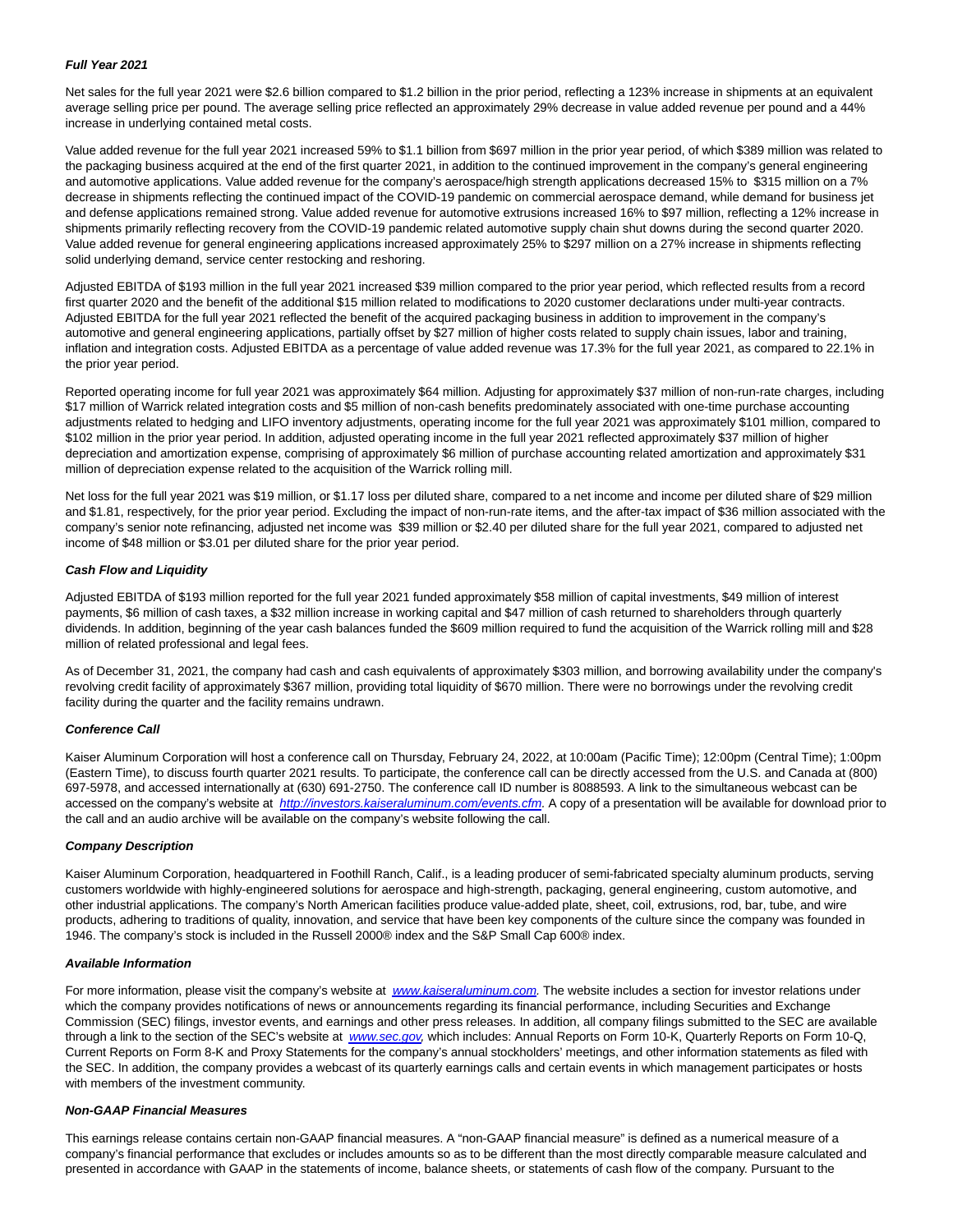## **Full Year 2021**

Net sales for the full year 2021 were \$2.6 billion compared to \$1.2 billion in the prior period, reflecting a 123% increase in shipments at an equivalent average selling price per pound. The average selling price reflected an approximately 29% decrease in value added revenue per pound and a 44% increase in underlying contained metal costs.

Value added revenue for the full year 2021 increased 59% to \$1.1 billion from \$697 million in the prior year period, of which \$389 million was related to the packaging business acquired at the end of the first quarter 2021, in addition to the continued improvement in the company's general engineering and automotive applications. Value added revenue for the company's aerospace/high strength applications decreased 15% to \$315 million on a 7% decrease in shipments reflecting the continued impact of the COVID-19 pandemic on commercial aerospace demand, while demand for business jet and defense applications remained strong. Value added revenue for automotive extrusions increased 16% to \$97 million, reflecting a 12% increase in shipments primarily reflecting recovery from the COVID-19 pandemic related automotive supply chain shut downs during the second quarter 2020. Value added revenue for general engineering applications increased approximately 25% to \$297 million on a 27% increase in shipments reflecting solid underlying demand, service center restocking and reshoring.

Adjusted EBITDA of \$193 million in the full year 2021 increased \$39 million compared to the prior year period, which reflected results from a record first quarter 2020 and the benefit of the additional \$15 million related to modifications to 2020 customer declarations under multi-year contracts. Adjusted EBITDA for the full year 2021 reflected the benefit of the acquired packaging business in addition to improvement in the company's automotive and general engineering applications, partially offset by \$27 million of higher costs related to supply chain issues, labor and training, inflation and integration costs. Adjusted EBITDA as a percentage of value added revenue was 17.3% for the full year 2021, as compared to 22.1% in the prior year period.

Reported operating income for full year 2021 was approximately \$64 million. Adjusting for approximately \$37 million of non-run-rate charges, including \$17 million of Warrick related integration costs and \$5 million of non-cash benefits predominately associated with one-time purchase accounting adjustments related to hedging and LIFO inventory adjustments, operating income for the full year 2021 was approximately \$101 million, compared to \$102 million in the prior year period. In addition, adjusted operating income in the full year 2021 reflected approximately \$37 million of higher depreciation and amortization expense, comprising of approximately \$6 million of purchase accounting related amortization and approximately \$31 million of depreciation expense related to the acquisition of the Warrick rolling mill.

Net loss for the full year 2021 was \$19 million, or \$1.17 loss per diluted share, compared to a net income and income per diluted share of \$29 million and \$1.81, respectively, for the prior year period. Excluding the impact of non-run-rate items, and the after-tax impact of \$36 million associated with the company's senior note refinancing, adjusted net income was \$39 million or \$2.40 per diluted share for the full year 2021, compared to adjusted net income of \$48 million or \$3.01 per diluted share for the prior year period.

# **Cash Flow and Liquidity**

Adjusted EBITDA of \$193 million reported for the full year 2021 funded approximately \$58 million of capital investments, \$49 million of interest payments, \$6 million of cash taxes, a \$32 million increase in working capital and \$47 million of cash returned to shareholders through quarterly dividends. In addition, beginning of the year cash balances funded the \$609 million required to fund the acquisition of the Warrick rolling mill and \$28 million of related professional and legal fees.

As of December 31, 2021, the company had cash and cash equivalents of approximately \$303 million, and borrowing availability under the company's revolving credit facility of approximately \$367 million, providing total liquidity of \$670 million. There were no borrowings under the revolving credit facility during the quarter and the facility remains undrawn.

# **Conference Call**

Kaiser Aluminum Corporation will host a conference call on Thursday, February 24, 2022, at 10:00am (Pacific Time); 12:00pm (Central Time); 1:00pm (Eastern Time), to discuss fourth quarter 2021 results. To participate, the conference call can be directly accessed from the U.S. and Canada at (800) 697-5978, and accessed internationally at (630) 691-2750. The conference call ID number is 8088593. A link to the simultaneous webcast can be accessed on the company's website at http://investors.kaiseraluminum.com/events.cfm</u>. A copy of a presentation will be available for download prior to the call and an audio archive will be available on the company's website following the call.

#### **Company Description**

Kaiser Aluminum Corporation, headquartered in Foothill Ranch, Calif., is a leading producer of semi-fabricated specialty aluminum products, serving customers worldwide with highly-engineered solutions for aerospace and high-strength, packaging, general engineering, custom automotive, and other industrial applications. The company's North American facilities produce value-added plate, sheet, coil, extrusions, rod, bar, tube, and wire products, adhering to traditions of quality, innovation, and service that have been key components of the culture since the company was founded in 1946. The company's stock is included in the Russell 2000® index and the S&P Small Cap 600® index.

## **Available Information**

For more information, please visit the company's website at [www.kaiseraluminum.com.](https://www.globenewswire.com/Tracker?data=SM89tSBE_AH8uQgouYf1AMBvQvifsgN6T7a0MD-YTyOJ6zb2k1-TWjKJY5C32C2GkOaSsmBCl5fNl-Zy7HXN0fbU1NM--Hfb5vXahQNrjNE=) The website includes a section for investor relations under which the company provides notifications of news or announcements regarding its financial performance, including Securities and Exchange Commission (SEC) filings, investor events, and earnings and other press releases. In addition, all company filings submitted to the SEC are available through a link to the section of the SEC's website at [www.sec.gov,](https://www.globenewswire.com/Tracker?data=3TCxFUa9hKlkO1uZVwEuQO-GO4Tz2f-n7ZQD223KmFtPglgfdyyYzhYWxxBi8g_8F38EP7MURfg9Wl7ghTsmhQ==) which includes: Annual Reports on Form 10-K, Quarterly Reports on Form 10-Q, Current Reports on Form 8-K and Proxy Statements for the company's annual stockholders' meetings, and other information statements as filed with the SEC. In addition, the company provides a webcast of its quarterly earnings calls and certain events in which management participates or hosts with members of the investment community.

#### **Non-GAAP Financial Measures**

This earnings release contains certain non-GAAP financial measures. A "non-GAAP financial measure" is defined as a numerical measure of a company's financial performance that excludes or includes amounts so as to be different than the most directly comparable measure calculated and presented in accordance with GAAP in the statements of income, balance sheets, or statements of cash flow of the company. Pursuant to the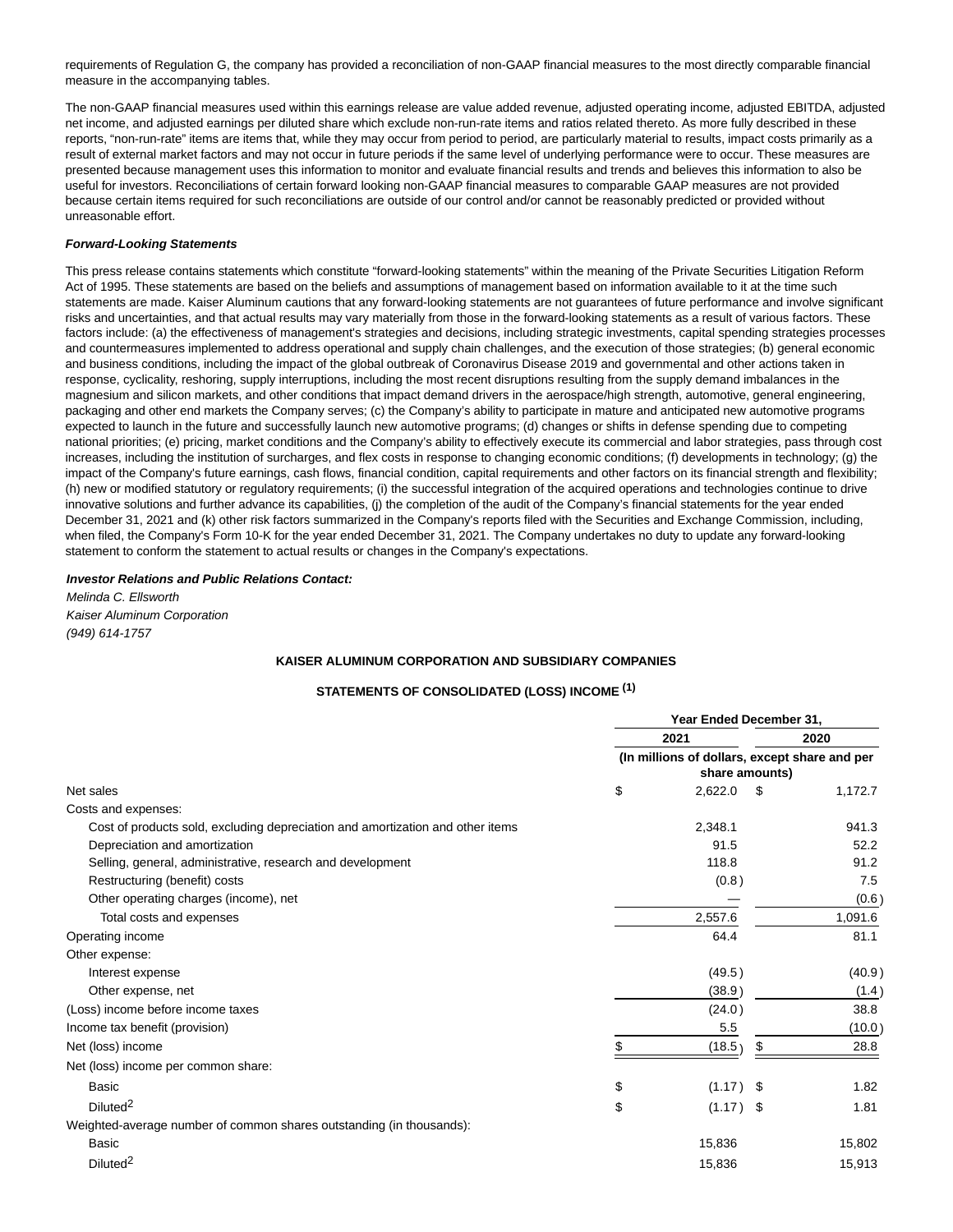requirements of Regulation G, the company has provided a reconciliation of non-GAAP financial measures to the most directly comparable financial measure in the accompanying tables.

The non-GAAP financial measures used within this earnings release are value added revenue, adjusted operating income, adjusted EBITDA, adjusted net income, and adjusted earnings per diluted share which exclude non-run-rate items and ratios related thereto. As more fully described in these reports, "non-run-rate" items are items that, while they may occur from period to period, are particularly material to results, impact costs primarily as a result of external market factors and may not occur in future periods if the same level of underlying performance were to occur. These measures are presented because management uses this information to monitor and evaluate financial results and trends and believes this information to also be useful for investors. Reconciliations of certain forward looking non-GAAP financial measures to comparable GAAP measures are not provided because certain items required for such reconciliations are outside of our control and/or cannot be reasonably predicted or provided without unreasonable effort.

## **Forward-Looking Statements**

This press release contains statements which constitute "forward-looking statements" within the meaning of the Private Securities Litigation Reform Act of 1995. These statements are based on the beliefs and assumptions of management based on information available to it at the time such statements are made. Kaiser Aluminum cautions that any forward-looking statements are not guarantees of future performance and involve significant risks and uncertainties, and that actual results may vary materially from those in the forward-looking statements as a result of various factors. These factors include: (a) the effectiveness of management's strategies and decisions, including strategic investments, capital spending strategies processes and countermeasures implemented to address operational and supply chain challenges, and the execution of those strategies; (b) general economic and business conditions, including the impact of the global outbreak of Coronavirus Disease 2019 and governmental and other actions taken in response, cyclicality, reshoring, supply interruptions, including the most recent disruptions resulting from the supply demand imbalances in the magnesium and silicon markets, and other conditions that impact demand drivers in the aerospace/high strength, automotive, general engineering, packaging and other end markets the Company serves; (c) the Company's ability to participate in mature and anticipated new automotive programs expected to launch in the future and successfully launch new automotive programs; (d) changes or shifts in defense spending due to competing national priorities; (e) pricing, market conditions and the Company's ability to effectively execute its commercial and labor strategies, pass through cost increases, including the institution of surcharges, and flex costs in response to changing economic conditions; (f) developments in technology; (g) the impact of the Company's future earnings, cash flows, financial condition, capital requirements and other factors on its financial strength and flexibility; (h) new or modified statutory or regulatory requirements; (i) the successful integration of the acquired operations and technologies continue to drive innovative solutions and further advance its capabilities, (j) the completion of the audit of the Company's financial statements for the year ended December 31, 2021 and (k) other risk factors summarized in the Company's reports filed with the Securities and Exchange Commission, including, when filed, the Company's Form 10-K for the year ended December 31, 2021. The Company undertakes no duty to update any forward-looking statement to conform the statement to actual results or changes in the Company's expectations.

#### **Investor Relations and Public Relations Contact:**

Melinda C. Ellsworth Kaiser Aluminum Corporation (949) 614-1757

# **KAISER ALUMINUM CORPORATION AND SUBSIDIARY COMPANIES**

# **STATEMENTS OF CONSOLIDATED (LOSS) INCOME (1)**

|                                                                                | Year Ended December 31,                                         |             |      |         |  |  |  |
|--------------------------------------------------------------------------------|-----------------------------------------------------------------|-------------|------|---------|--|--|--|
|                                                                                | 2021                                                            |             | 2020 |         |  |  |  |
|                                                                                | (In millions of dollars, except share and per<br>share amounts) |             |      |         |  |  |  |
| Net sales                                                                      | \$                                                              | 2,622.0     | \$   | 1,172.7 |  |  |  |
| Costs and expenses:                                                            |                                                                 |             |      |         |  |  |  |
| Cost of products sold, excluding depreciation and amortization and other items |                                                                 | 2,348.1     |      | 941.3   |  |  |  |
| Depreciation and amortization                                                  |                                                                 | 91.5        |      | 52.2    |  |  |  |
| Selling, general, administrative, research and development                     |                                                                 | 118.8       |      | 91.2    |  |  |  |
| Restructuring (benefit) costs                                                  |                                                                 | (0.8)       |      | 7.5     |  |  |  |
| Other operating charges (income), net                                          |                                                                 |             |      | (0.6)   |  |  |  |
| Total costs and expenses                                                       |                                                                 | 2,557.6     |      | 1,091.6 |  |  |  |
| Operating income                                                               |                                                                 | 64.4        |      | 81.1    |  |  |  |
| Other expense:                                                                 |                                                                 |             |      |         |  |  |  |
| Interest expense                                                               |                                                                 | (49.5)      |      | (40.9)  |  |  |  |
| Other expense, net                                                             |                                                                 | (38.9)      |      | (1.4)   |  |  |  |
| (Loss) income before income taxes                                              |                                                                 | (24.0)      |      | 38.8    |  |  |  |
| Income tax benefit (provision)                                                 |                                                                 | 5.5         |      | (10.0)  |  |  |  |
| Net (loss) income                                                              |                                                                 | (18.5)      | \$   | 28.8    |  |  |  |
| Net (loss) income per common share:                                            |                                                                 |             |      |         |  |  |  |
| <b>Basic</b>                                                                   | \$                                                              | (1.17)      | - \$ | 1.82    |  |  |  |
| Diluted <sup>2</sup>                                                           | \$                                                              | $(1.17)$ \$ |      | 1.81    |  |  |  |
| Weighted-average number of common shares outstanding (in thousands):           |                                                                 |             |      |         |  |  |  |
| Basic                                                                          |                                                                 | 15,836      |      | 15,802  |  |  |  |
| Diluted <sup>2</sup>                                                           |                                                                 | 15,836      |      | 15,913  |  |  |  |
|                                                                                |                                                                 |             |      |         |  |  |  |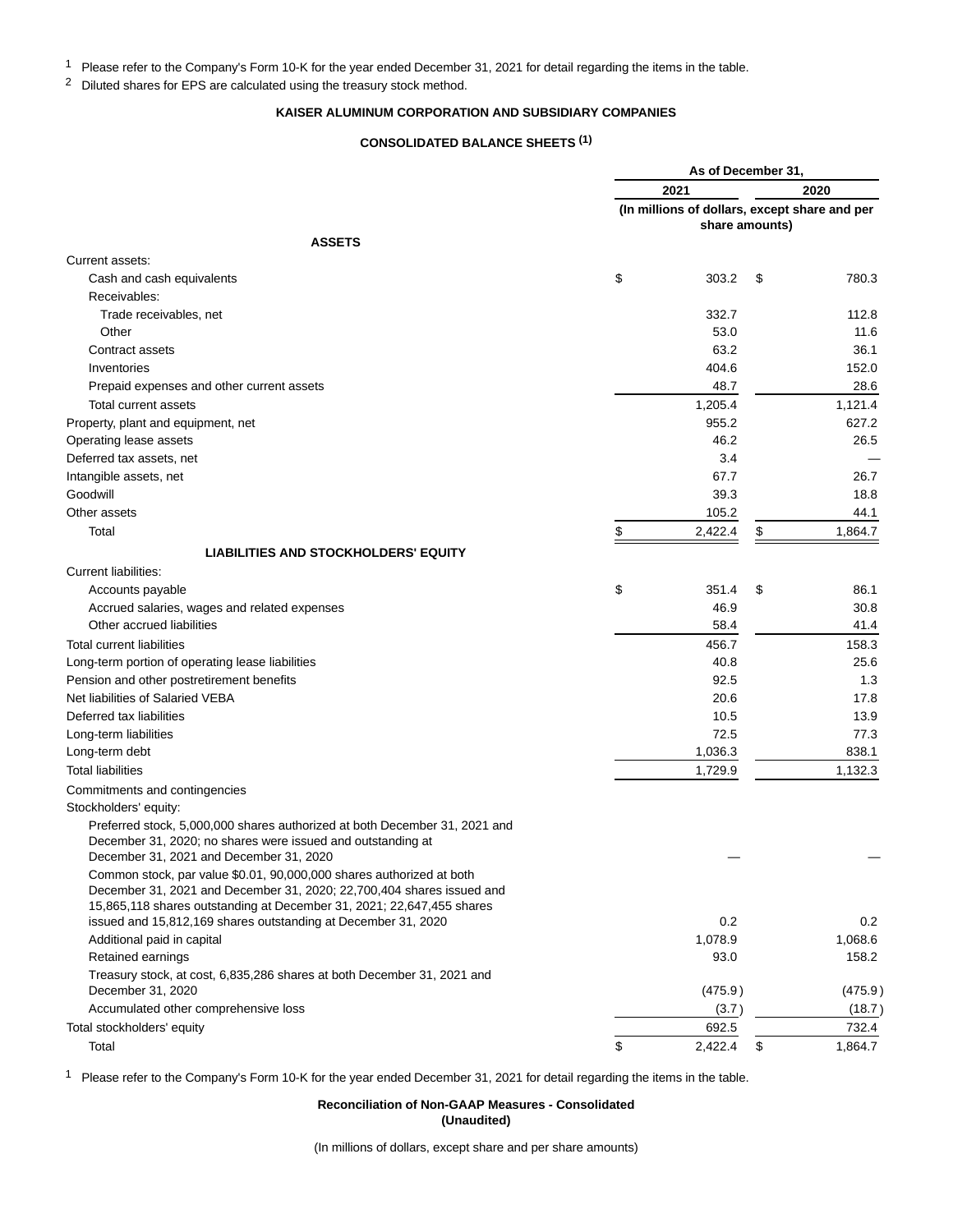1 Please refer to the Company's Form 10-K for the year ended December 31, 2021 for detail regarding the items in the table.

<sup>2</sup> Diluted shares for EPS are calculated using the treasury stock method.

# **KAISER ALUMINUM CORPORATION AND SUBSIDIARY COMPANIES**

# **CONSOLIDATED BALANCE SHEETS (1)**

|                                                                                                                                                                                                                          |      | As of December 31. |                                                                 |         |  |
|--------------------------------------------------------------------------------------------------------------------------------------------------------------------------------------------------------------------------|------|--------------------|-----------------------------------------------------------------|---------|--|
|                                                                                                                                                                                                                          | 2021 |                    |                                                                 | 2020    |  |
|                                                                                                                                                                                                                          |      |                    | (In millions of dollars, except share and per<br>share amounts) |         |  |
| <b>ASSETS</b>                                                                                                                                                                                                            |      |                    |                                                                 |         |  |
| Current assets:                                                                                                                                                                                                          |      |                    |                                                                 |         |  |
| Cash and cash equivalents                                                                                                                                                                                                | \$   | 303.2              | \$                                                              | 780.3   |  |
| Receivables:                                                                                                                                                                                                             |      |                    |                                                                 |         |  |
| Trade receivables, net                                                                                                                                                                                                   |      | 332.7              |                                                                 | 112.8   |  |
| Other                                                                                                                                                                                                                    |      | 53.0               |                                                                 | 11.6    |  |
| Contract assets                                                                                                                                                                                                          |      | 63.2               |                                                                 | 36.1    |  |
| Inventories                                                                                                                                                                                                              |      | 404.6              |                                                                 | 152.0   |  |
| Prepaid expenses and other current assets                                                                                                                                                                                |      | 48.7               |                                                                 | 28.6    |  |
| Total current assets                                                                                                                                                                                                     |      | 1,205.4            |                                                                 | 1,121.4 |  |
| Property, plant and equipment, net                                                                                                                                                                                       |      | 955.2              |                                                                 | 627.2   |  |
| Operating lease assets                                                                                                                                                                                                   |      | 46.2               |                                                                 | 26.5    |  |
| Deferred tax assets, net                                                                                                                                                                                                 |      | 3.4                |                                                                 |         |  |
| Intangible assets, net                                                                                                                                                                                                   |      | 67.7               |                                                                 | 26.7    |  |
| Goodwill                                                                                                                                                                                                                 |      | 39.3               |                                                                 | 18.8    |  |
| Other assets                                                                                                                                                                                                             |      | 105.2              |                                                                 | 44.1    |  |
| Total                                                                                                                                                                                                                    | \$   | 2,422.4            | \$                                                              | 1,864.7 |  |
|                                                                                                                                                                                                                          |      |                    |                                                                 |         |  |
| <b>LIABILITIES AND STOCKHOLDERS' EQUITY</b>                                                                                                                                                                              |      |                    |                                                                 |         |  |
| Current liabilities:                                                                                                                                                                                                     |      |                    |                                                                 |         |  |
| Accounts payable                                                                                                                                                                                                         | \$   | 351.4              | \$                                                              | 86.1    |  |
| Accrued salaries, wages and related expenses                                                                                                                                                                             |      | 46.9               |                                                                 | 30.8    |  |
| Other accrued liabilities                                                                                                                                                                                                |      | 58.4               |                                                                 | 41.4    |  |
| <b>Total current liabilities</b>                                                                                                                                                                                         |      | 456.7              |                                                                 | 158.3   |  |
| Long-term portion of operating lease liabilities                                                                                                                                                                         |      | 40.8               |                                                                 | 25.6    |  |
| Pension and other postretirement benefits                                                                                                                                                                                |      | 92.5               |                                                                 | 1.3     |  |
| Net liabilities of Salaried VEBA                                                                                                                                                                                         |      | 20.6               |                                                                 | 17.8    |  |
| Deferred tax liabilities                                                                                                                                                                                                 |      | 10.5               |                                                                 | 13.9    |  |
| Long-term liabilities                                                                                                                                                                                                    |      | 72.5               |                                                                 | 77.3    |  |
| Long-term debt                                                                                                                                                                                                           |      | 1,036.3            |                                                                 | 838.1   |  |
| <b>Total liabilities</b>                                                                                                                                                                                                 |      | 1,729.9            |                                                                 | 1,132.3 |  |
| Commitments and contingencies                                                                                                                                                                                            |      |                    |                                                                 |         |  |
| Stockholders' equity:                                                                                                                                                                                                    |      |                    |                                                                 |         |  |
| Preferred stock, 5,000,000 shares authorized at both December 31, 2021 and<br>December 31, 2020; no shares were issued and outstanding at<br>December 31, 2021 and December 31, 2020                                     |      |                    |                                                                 |         |  |
| Common stock, par value \$0.01, 90,000,000 shares authorized at both<br>December 31, 2021 and December 31, 2020; 22, 700, 404 shares issued and<br>15,865,118 shares outstanding at December 31, 2021; 22,647,455 shares |      |                    |                                                                 |         |  |
| issued and 15,812,169 shares outstanding at December 31, 2020                                                                                                                                                            |      | 0.2                |                                                                 | 0.2     |  |
| Additional paid in capital                                                                                                                                                                                               |      | 1,078.9            |                                                                 | 1,068.6 |  |
| Retained earnings                                                                                                                                                                                                        |      | 93.0               |                                                                 | 158.2   |  |
| Treasury stock, at cost, 6,835,286 shares at both December 31, 2021 and                                                                                                                                                  |      |                    |                                                                 |         |  |
| December 31, 2020                                                                                                                                                                                                        |      | (475.9)            |                                                                 | (475.9) |  |
| Accumulated other comprehensive loss                                                                                                                                                                                     |      | (3.7)              |                                                                 | (18.7)  |  |
| Total stockholders' equity                                                                                                                                                                                               |      | 692.5              |                                                                 | 732.4   |  |
| Total                                                                                                                                                                                                                    | \$   | 2,422.4            | \$                                                              | 1,864.7 |  |

1 Please refer to the Company's Form 10-K for the year ended December 31, 2021 for detail regarding the items in the table.

# **Reconciliation of Non-GAAP Measures - Consolidated (Unaudited)**

(In millions of dollars, except share and per share amounts)